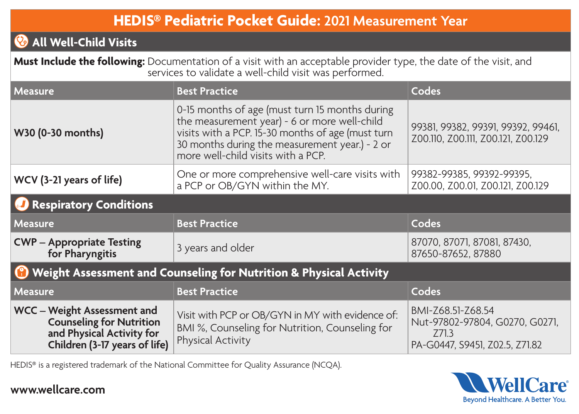## **HEDIS® Pediatric Pocket Guide: 2021 Measurement Year**

## **All Well-Child Visits**

 **Must Include the following:** Documentation of a visit with an acceptable provider type, the date of the visit, and services to validate a well-child visit was performed.

| <b>Measure</b>                                                                                                               | <b>Best Practice</b>                                                                                                                                                                                                                        | Codes                                                                                          |  |
|------------------------------------------------------------------------------------------------------------------------------|---------------------------------------------------------------------------------------------------------------------------------------------------------------------------------------------------------------------------------------------|------------------------------------------------------------------------------------------------|--|
| W30 (0-30 months)                                                                                                            | 0-15 months of age (must turn 15 months during<br>the measurement year) - 6 or more well-child<br>visits with a PCP. 15-30 months of age (must turn<br>30 months during the measurement year.) - 2 or<br>more well-child visits with a PCP. | 99381, 99382, 99391, 99392, 99461,<br>Z00.110, Z00.111, Z00.121, Z00.129                       |  |
| WCV (3-21 years of life)                                                                                                     | One or more comprehensive well-care visits with<br>a PCP or OB/GYN within the MY.                                                                                                                                                           | 99382-99385, 99392-99395,<br>Z00.00, Z00.01, Z00.121, Z00.129                                  |  |
| <b>Respiratory Conditions</b>                                                                                                |                                                                                                                                                                                                                                             |                                                                                                |  |
| <b>Measure</b>                                                                                                               | <b>Best Practice</b>                                                                                                                                                                                                                        | Codes                                                                                          |  |
| <b>CWP</b> – Appropriate Testing<br>for Pharyngitis                                                                          | 3 years and older                                                                                                                                                                                                                           | 87070, 87071, 87081, 87430,<br>87650-87652, 87880                                              |  |
| <sup>1</sup> Weight Assessment and Counseling for Nutrition & Physical Activity                                              |                                                                                                                                                                                                                                             |                                                                                                |  |
| <b>Measure</b>                                                                                                               | <b>Best Practice</b>                                                                                                                                                                                                                        | Codes                                                                                          |  |
| WCC - Weight Assessment and<br><b>Counseling for Nutrition</b><br>and Physical Activity for<br>Children (3-17 years of life) | Visit with PCP or OB/GYN in MY with evidence of:<br>BMI %, Counseling for Nutrition, Counseling for<br>Physical Activity                                                                                                                    | BMI-Z68.51-Z68.54<br>Nut-97802-97804, G0270, G0271,<br>Z71.3<br>PA-G0447, S9451, Z02.5, Z71.82 |  |

HEDIS® is a registered trademark of the National Committee for Quality Assurance (NCQA).



## **www.wellcare.com**